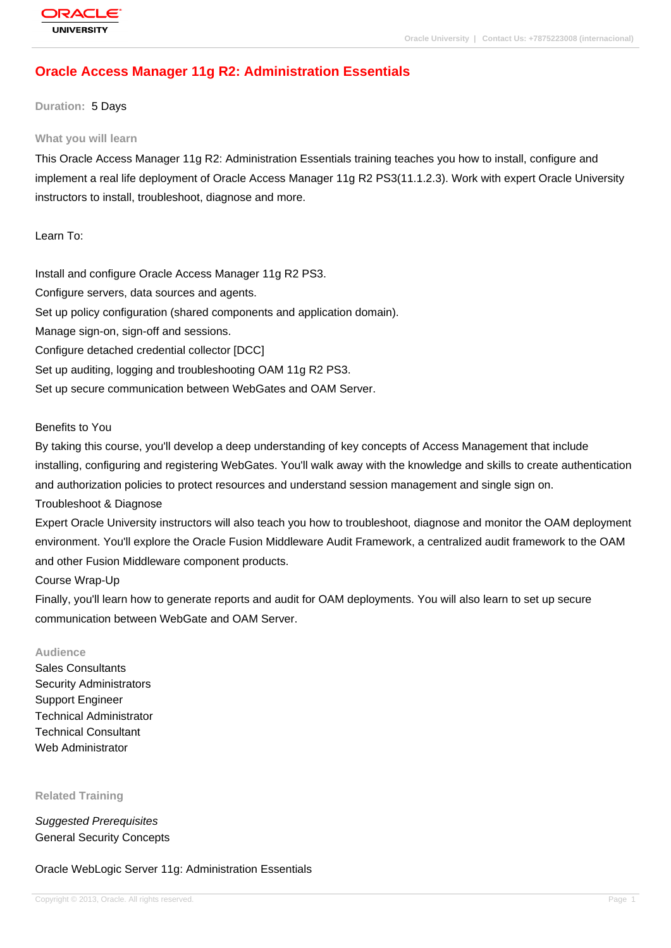# **Oracle Access Manager 11g R2: Administration Essentials**

**Duration:** 5 Days

#### **What you will learn**

This Oracle Access Manager 11g R2: Administration Essentials training teaches you how to install, configure and implement a real life deployment of Oracle Access Manager 11g R2 PS3(11.1.2.3). Work with expert Oracle University instructors to install, troubleshoot, diagnose and more.

### Learn To:

Install and configure Oracle Access Manager 11g R2 PS3. Configure servers, data sources and agents.

Set up policy configuration (shared components and application domain).

Manage sign-on, sign-off and sessions.

Configure detached credential collector [DCC]

Set up auditing, logging and troubleshooting OAM 11g R2 PS3.

Set up secure communication between WebGates and OAM Server.

### Benefits to You

By taking this course, you'll develop a deep understanding of key concepts of Access Management that include installing, configuring and registering WebGates. You'll walk away with the knowledge and skills to create authentication and authorization policies to protect resources and understand session management and single sign on.

Troubleshoot & Diagnose

Expert Oracle University instructors will also teach you how to troubleshoot, diagnose and monitor the OAM deployment environment. You'll explore the Oracle Fusion Middleware Audit Framework, a centralized audit framework to the OAM and other Fusion Middleware component products.

Course Wrap-Up

Finally, you'll learn how to generate reports and audit for OAM deployments. You will also learn to set up secure communication between WebGate and OAM Server.

#### **Audience**

Sales Consultants Security Administrators Support Engineer Technical Administrator Technical Consultant Web Administrator

**Related Training**

Suggested Prerequisites General Security Concepts

Oracle WebLogic Server 11g: Administration Essentials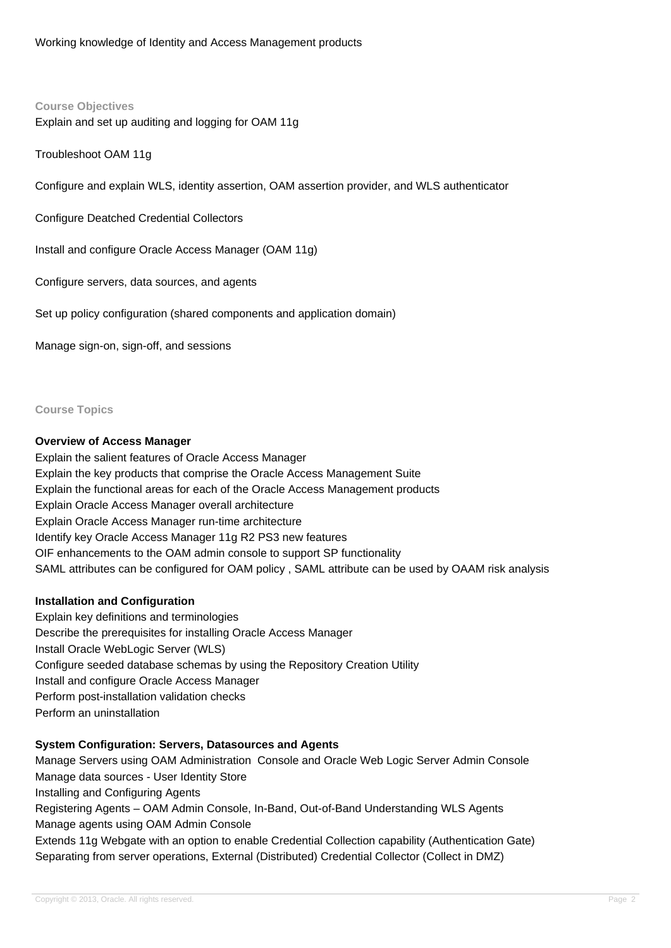# **Course Objectives** Explain and set up auditing and logging for OAM 11g

Troubleshoot OAM 11g

Configure and explain WLS, identity assertion, OAM assertion provider, and WLS authenticator

Configure Deatched Credential Collectors

Install and configure Oracle Access Manager (OAM 11g)

Configure servers, data sources, and agents

Set up policy configuration (shared components and application domain)

Manage sign-on, sign-off, and sessions

**Course Topics**

### **Overview of Access Manager**

Explain the salient features of Oracle Access Manager Explain the key products that comprise the Oracle Access Management Suite Explain the functional areas for each of the Oracle Access Management products Explain Oracle Access Manager overall architecture Explain Oracle Access Manager run-time architecture Identify key Oracle Access Manager 11g R2 PS3 new features OIF enhancements to the OAM admin console to support SP functionality SAML attributes can be configured for OAM policy , SAML attribute can be used by OAAM risk analysis

### **Installation and Configuration**

Explain key definitions and terminologies Describe the prerequisites for installing Oracle Access Manager Install Oracle WebLogic Server (WLS) Configure seeded database schemas by using the Repository Creation Utility Install and configure Oracle Access Manager Perform post-installation validation checks Perform an uninstallation

# **System Configuration: Servers, Datasources and Agents**

Manage Servers using OAM Administration Console and Oracle Web Logic Server Admin Console Manage data sources - User Identity Store Installing and Configuring Agents Registering Agents – OAM Admin Console, In-Band, Out-of-Band Understanding WLS Agents Manage agents using OAM Admin Console Extends 11g Webgate with an option to enable Credential Collection capability (Authentication Gate) Separating from server operations, External (Distributed) Credential Collector (Collect in DMZ)